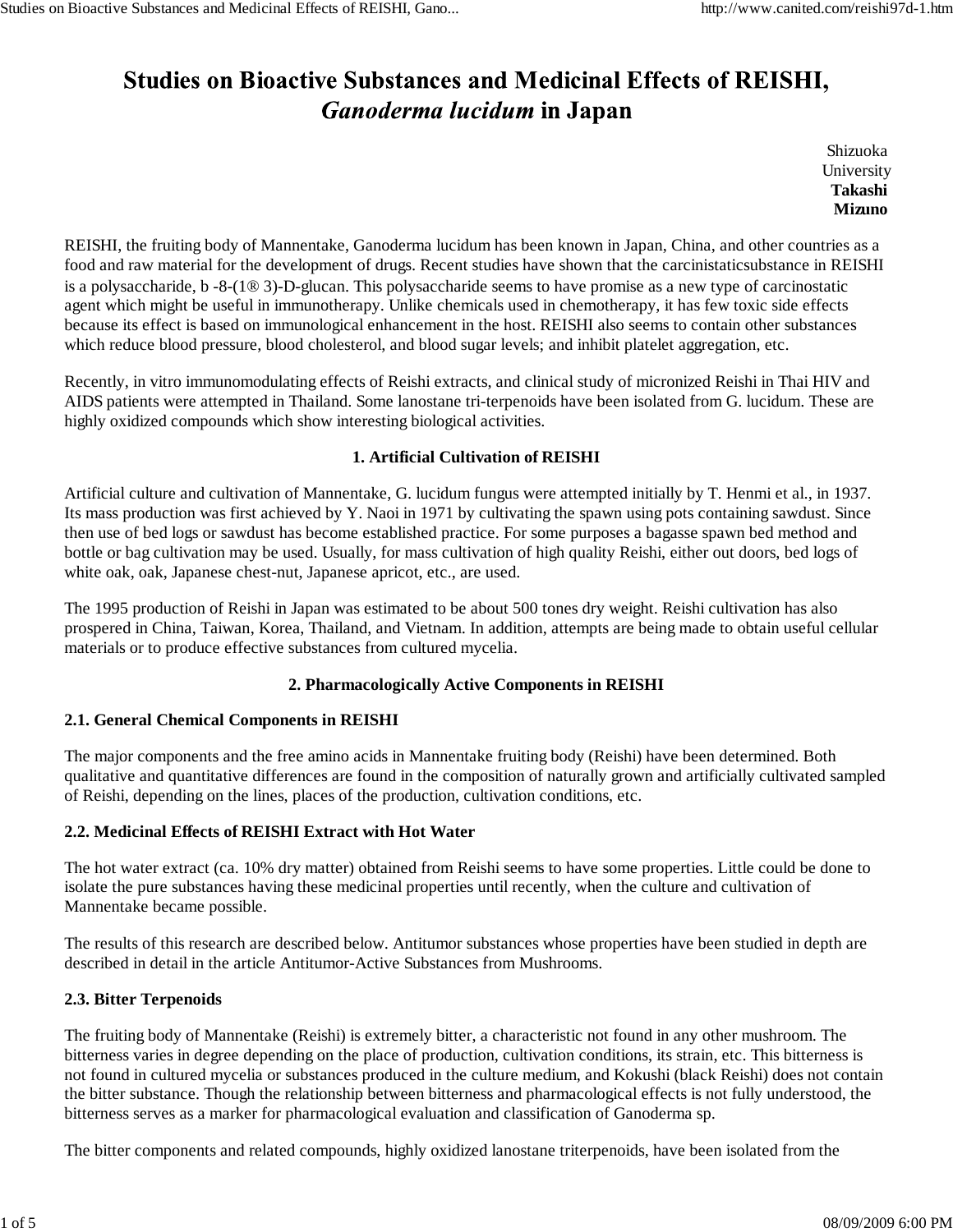# **Studies on Bioactive Substances and Medicinal Effects of REISHI,** *Ganoderma lucidum* in Japan

Shizuoka **University Takashi Mizuno**

REISHI, the fruiting body of Mannentake, Ganoderma lucidum has been known in Japan, China, and other countries as a food and raw material for the development of drugs. Recent studies have shown that the carcinistaticsubstance in REISHI is a polysaccharide, b -8-(1® 3)-D-glucan. This polysaccharide seems to have promise as a new type of carcinostatic agent which might be useful in immunotherapy. Unlike chemicals used in chemotherapy, it has few toxic side effects because its effect is based on immunological enhancement in the host. REISHI also seems to contain other substances which reduce blood pressure, blood cholesterol, and blood sugar levels; and inhibit platelet aggregation, etc.

Recently, in vitro immunomodulating effects of Reishi extracts, and clinical study of micronized Reishi in Thai HIV and AIDS patients were attempted in Thailand. Some lanostane tri-terpenoids have been isolated from G. lucidum. These are highly oxidized compounds which show interesting biological activities.

### **1. Artificial Cultivation of REISHI**

Artificial culture and cultivation of Mannentake, G. lucidum fungus were attempted initially by T. Henmi et al., in 1937. Its mass production was first achieved by Y. Naoi in 1971 by cultivating the spawn using pots containing sawdust. Since then use of bed logs or sawdust has become established practice. For some purposes a bagasse spawn bed method and bottle or bag cultivation may be used. Usually, for mass cultivation of high quality Reishi, either out doors, bed logs of white oak, oak, Japanese chest-nut, Japanese apricot, etc., are used.

The 1995 production of Reishi in Japan was estimated to be about 500 tones dry weight. Reishi cultivation has also prospered in China, Taiwan, Korea, Thailand, and Vietnam. In addition, attempts are being made to obtain useful cellular materials or to produce effective substances from cultured mycelia.

# **2. Pharmacologically Active Components in REISHI**

### **2.1. General Chemical Components in REISHI**

The major components and the free amino acids in Mannentake fruiting body (Reishi) have been determined. Both qualitative and quantitative differences are found in the composition of naturally grown and artificially cultivated sampled of Reishi, depending on the lines, places of the production, cultivation conditions, etc.

### **2.2. Medicinal Effects of REISHI Extract with Hot Water**

The hot water extract (ca. 10% dry matter) obtained from Reishi seems to have some properties. Little could be done to isolate the pure substances having these medicinal properties until recently, when the culture and cultivation of Mannentake became possible.

The results of this research are described below. Antitumor substances whose properties have been studied in depth are described in detail in the article Antitumor-Active Substances from Mushrooms.

### **2.3. Bitter Terpenoids**

The fruiting body of Mannentake (Reishi) is extremely bitter, a characteristic not found in any other mushroom. The bitterness varies in degree depending on the place of production, cultivation conditions, its strain, etc. This bitterness is not found in cultured mycelia or substances produced in the culture medium, and Kokushi (black Reishi) does not contain the bitter substance. Though the relationship between bitterness and pharmacological effects is not fully understood, the bitterness serves as a marker for pharmacological evaluation and classification of Ganoderma sp.

The bitter components and related compounds, highly oxidized lanostane triterpenoids, have been isolated from the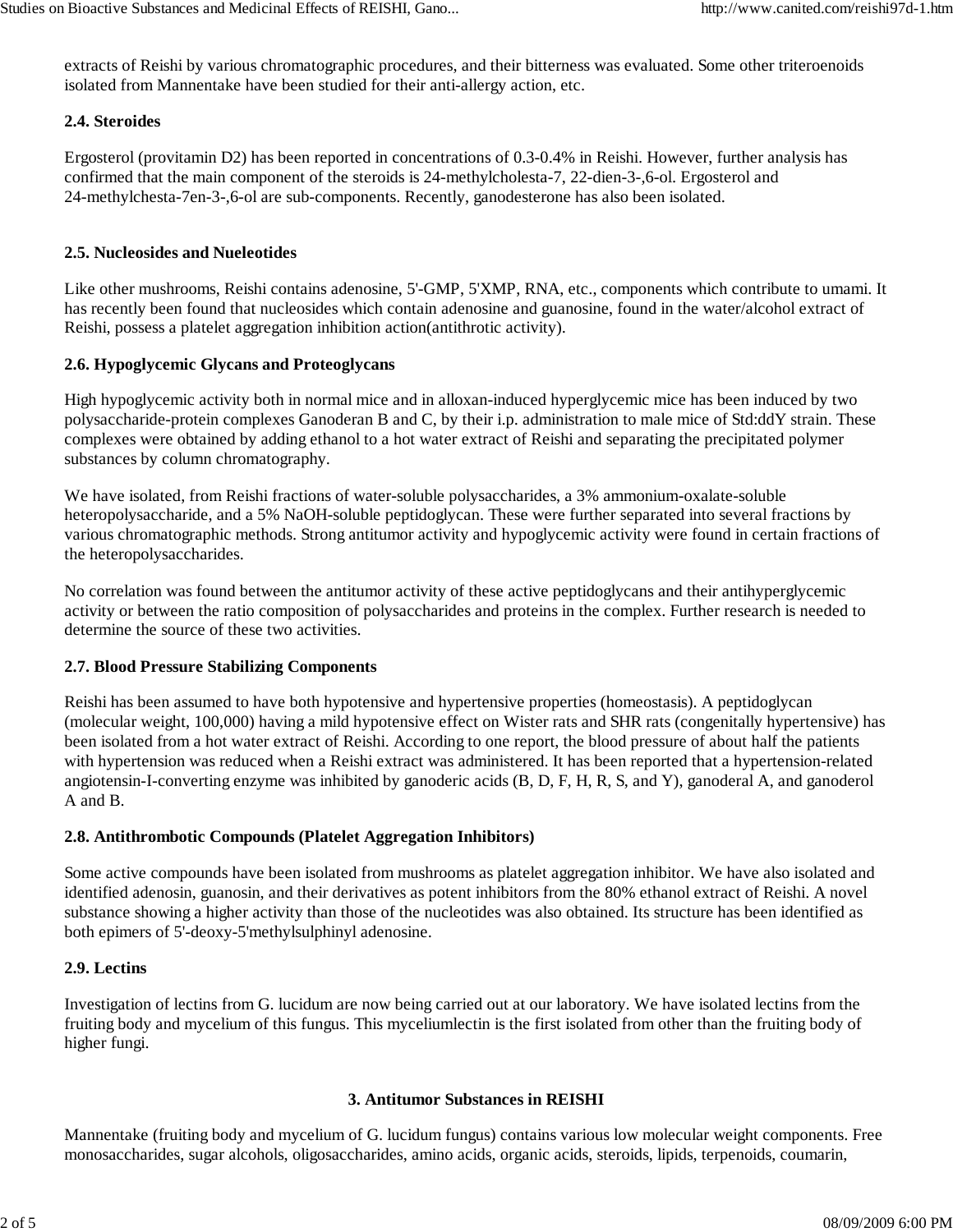extracts of Reishi by various chromatographic procedures, and their bitterness was evaluated. Some other triteroenoids isolated from Mannentake have been studied for their anti-allergy action, etc.

### **2.4. Steroides**

Ergosterol (provitamin D2) has been reported in concentrations of 0.3-0.4% in Reishi. However, further analysis has confirmed that the main component of the steroids is 24-methylcholesta-7, 22-dien-3-,6-ol. Ergosterol and 24-methylchesta-7en-3-,6-ol are sub-components. Recently, ganodesterone has also been isolated.

## **2.5. Nucleosides and Nueleotides**

Like other mushrooms, Reishi contains adenosine, 5'-GMP, 5'XMP, RNA, etc., components which contribute to umami. It has recently been found that nucleosides which contain adenosine and guanosine, found in the water/alcohol extract of Reishi, possess a platelet aggregation inhibition action(antithrotic activity).

## **2.6. Hypoglycemic Glycans and Proteoglycans**

High hypoglycemic activity both in normal mice and in alloxan-induced hyperglycemic mice has been induced by two polysaccharide-protein complexes Ganoderan B and C, by their i.p. administration to male mice of Std:ddY strain. These complexes were obtained by adding ethanol to a hot water extract of Reishi and separating the precipitated polymer substances by column chromatography.

We have isolated, from Reishi fractions of water-soluble polysaccharides, a 3% ammonium-oxalate-soluble heteropolysaccharide, and a 5% NaOH-soluble peptidoglycan. These were further separated into several fractions by various chromatographic methods. Strong antitumor activity and hypoglycemic activity were found in certain fractions of the heteropolysaccharides.

No correlation was found between the antitumor activity of these active peptidoglycans and their antihyperglycemic activity or between the ratio composition of polysaccharides and proteins in the complex. Further research is needed to determine the source of these two activities.

### **2.7. Blood Pressure Stabilizing Components**

Reishi has been assumed to have both hypotensive and hypertensive properties (homeostasis). A peptidoglycan (molecular weight, 100,000) having a mild hypotensive effect on Wister rats and SHR rats (congenitally hypertensive) has been isolated from a hot water extract of Reishi. According to one report, the blood pressure of about half the patients with hypertension was reduced when a Reishi extract was administered. It has been reported that a hypertension-related angiotensin-I-converting enzyme was inhibited by ganoderic acids (B, D, F, H, R, S, and Y), ganoderal A, and ganoderol A and B.

### **2.8. Antithrombotic Compounds (Platelet Aggregation Inhibitors)**

Some active compounds have been isolated from mushrooms as platelet aggregation inhibitor. We have also isolated and identified adenosin, guanosin, and their derivatives as potent inhibitors from the 80% ethanol extract of Reishi. A novel substance showing a higher activity than those of the nucleotides was also obtained. Its structure has been identified as both epimers of 5'-deoxy-5'methylsulphinyl adenosine.

### **2.9. Lectins**

Investigation of lectins from G. lucidum are now being carried out at our laboratory. We have isolated lectins from the fruiting body and mycelium of this fungus. This myceliumlectin is the first isolated from other than the fruiting body of higher fungi.

### **3. Antitumor Substances in REISHI**

Mannentake (fruiting body and mycelium of G. lucidum fungus) contains various low molecular weight components. Free monosaccharides, sugar alcohols, oligosaccharides, amino acids, organic acids, steroids, lipids, terpenoids, coumarin,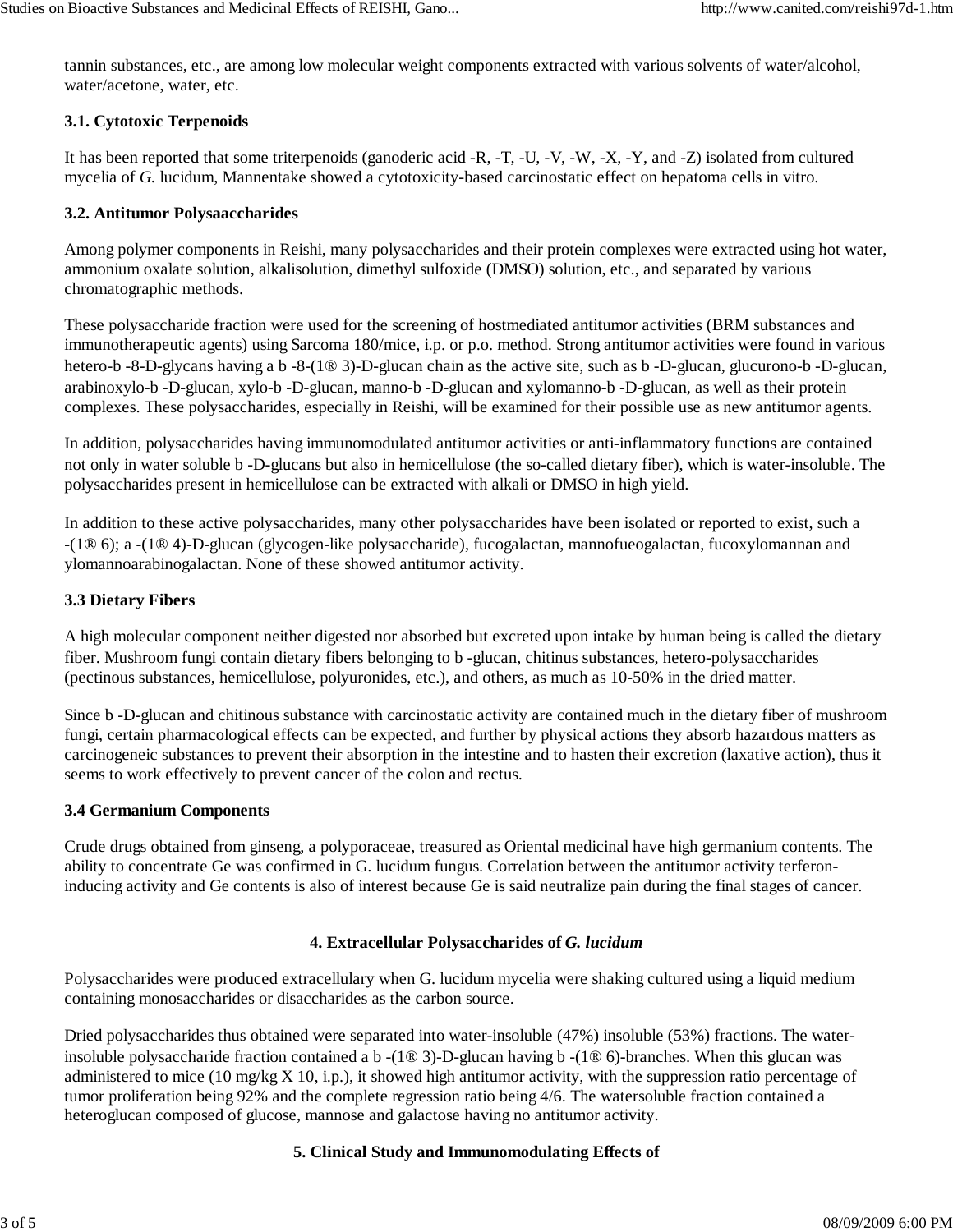tannin substances, etc., are among low molecular weight components extracted with various solvents of water/alcohol, water/acetone, water, etc.

### **3.1. Cytotoxic Terpenoids**

It has been reported that some triterpenoids (ganoderic acid -R, -T, -U, -V, -W, -X, -Y, and -Z) isolated from cultured mycelia of *G.* lucidum, Mannentake showed a cytotoxicity-based carcinostatic effect on hepatoma cells in vitro.

## **3.2. Antitumor Polysaaccharides**

Among polymer components in Reishi, many polysaccharides and their protein complexes were extracted using hot water, ammonium oxalate solution, alkalisolution, dimethyl sulfoxide (DMSO) solution, etc., and separated by various chromatographic methods.

These polysaccharide fraction were used for the screening of hostmediated antitumor activities (BRM substances and immunotherapeutic agents) using Sarcoma 180/mice, i.p. or p.o. method. Strong antitumor activities were found in various hetero-b -8-D-glycans having a b -8-(1® 3)-D-glucan chain as the active site, such as b -D-glucan, glucurono-b -D-glucan, arabinoxylo-b -D-glucan, xylo-b -D-glucan, manno-b -D-glucan and xylomanno-b -D-glucan, as well as their protein complexes. These polysaccharides, especially in Reishi, will be examined for their possible use as new antitumor agents.

In addition, polysaccharides having immunomodulated antitumor activities or anti-inflammatory functions are contained not only in water soluble b -D-glucans but also in hemicellulose (the so-called dietary fiber), which is water-insoluble. The polysaccharides present in hemicellulose can be extracted with alkali or DMSO in high yield.

In addition to these active polysaccharides, many other polysaccharides have been isolated or reported to exist, such a -(1® 6); a -(1® 4)-D-glucan (glycogen-like polysaccharide), fucogalactan, mannofueogalactan, fucoxylomannan and ylomannoarabinogalactan. None of these showed antitumor activity.

# **3.3 Dietary Fibers**

A high molecular component neither digested nor absorbed but excreted upon intake by human being is called the dietary fiber. Mushroom fungi contain dietary fibers belonging to b -glucan, chitinus substances, hetero-polysaccharides (pectinous substances, hemicellulose, polyuronides, etc.), and others, as much as 10-50% in the dried matter.

Since b -D-glucan and chitinous substance with carcinostatic activity are contained much in the dietary fiber of mushroom fungi, certain pharmacological effects can be expected, and further by physical actions they absorb hazardous matters as carcinogeneic substances to prevent their absorption in the intestine and to hasten their excretion (laxative action), thus it seems to work effectively to prevent cancer of the colon and rectus.

### **3.4 Germanium Components**

Crude drugs obtained from ginseng, a polyporaceae, treasured as Oriental medicinal have high germanium contents. The ability to concentrate Ge was confirmed in G. lucidum fungus. Correlation between the antitumor activity terferoninducing activity and Ge contents is also of interest because Ge is said neutralize pain during the final stages of cancer.

### **4. Extracellular Polysaccharides of** *G. lucidum*

Polysaccharides were produced extracellulary when G. lucidum mycelia were shaking cultured using a liquid medium containing monosaccharides or disaccharides as the carbon source.

Dried polysaccharides thus obtained were separated into water-insoluble (47%) insoluble (53%) fractions. The waterinsoluble polysaccharide fraction contained a b -(1® 3)-D-glucan having b -(1® 6)-branches. When this glucan was administered to mice (10 mg/kg X 10, i.p.), it showed high antitumor activity, with the suppression ratio percentage of tumor proliferation being 92% and the complete regression ratio being 4/6. The watersoluble fraction contained a heteroglucan composed of glucose, mannose and galactose having no antitumor activity.

# **5. Clinical Study and Immunomodulating Effects of**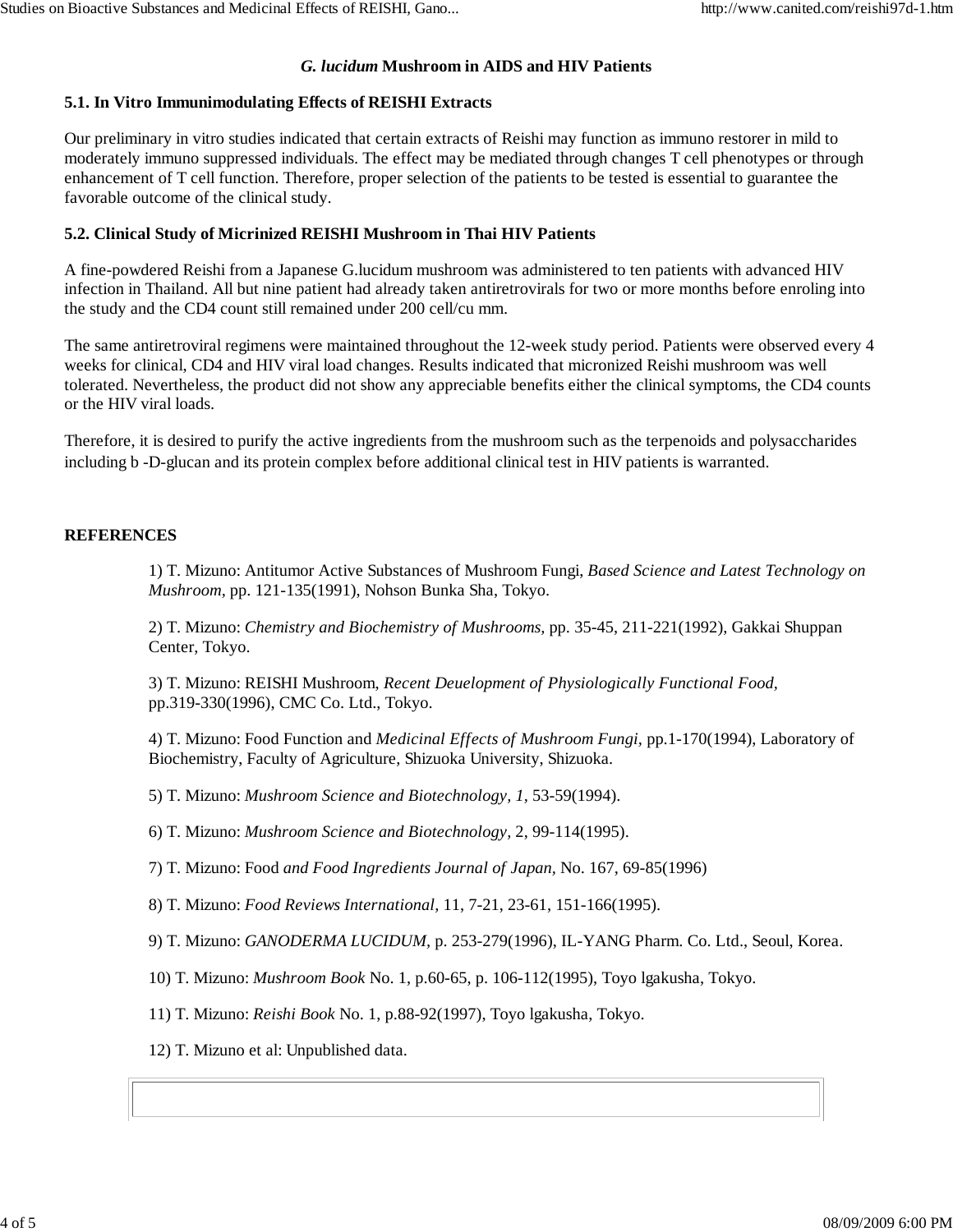#### *G. lucidum* **Mushroom in AIDS and HIV Patients**

#### **5.1. In Vitro Immunimodulating Effects of REISHI Extracts**

Our preliminary in vitro studies indicated that certain extracts of Reishi may function as immuno restorer in mild to moderately immuno suppressed individuals. The effect may be mediated through changes T cell phenotypes or through enhancement of T cell function. Therefore, proper selection of the patients to be tested is essential to guarantee the favorable outcome of the clinical study.

#### **5.2. Clinical Study of Micrinized REISHI Mushroom in Thai HIV Patients**

A fine-powdered Reishi from a Japanese G.lucidum mushroom was administered to ten patients with advanced HIV infection in Thailand. All but nine patient had already taken antiretrovirals for two or more months before enroling into the study and the CD4 count still remained under 200 cell/cu mm.

The same antiretroviral regimens were maintained throughout the 12-week study period. Patients were observed every 4 weeks for clinical, CD4 and HIV viral load changes. Results indicated that micronized Reishi mushroom was well tolerated. Nevertheless, the product did not show any appreciable benefits either the clinical symptoms, the CD4 counts or the HIV viral loads.

Therefore, it is desired to purify the active ingredients from the mushroom such as the terpenoids and polysaccharides including b -D-glucan and its protein complex before additional clinical test in HIV patients is warranted.

#### **REFERENCES**

1) T. Mizuno: Antitumor Active Substances of Mushroom Fungi, *Based Science and Latest Technology on Mushroom,* pp. 121-135(1991), Nohson Bunka Sha, Tokyo.

2) T. Mizuno: *Chemistry and Biochemistry of Mushrooms,* pp. 35-45, 211-221(1992), Gakkai Shuppan Center, Tokyo.

3) T. Mizuno: REISHI Mushroom, *Recent Deuelopment of Physiologically Functional Food,* pp.319-330(1996), CMC Co. Ltd., Tokyo.

4) T. Mizuno: Food Function and *Medicinal Effects of Mushroom Fungi,* pp.1-170(1994), Laboratory of Biochemistry, Faculty of Agriculture, Shizuoka University, Shizuoka.

5) T. Mizuno: *Mushroom Science and Biotechnology, 1,* 53-59(1994).

6) T. Mizuno: *Mushroom Science and Biotechnology,* 2, 99-114(1995).

7) T. Mizuno: Food *and Food Ingredients Journal of Japan,* No. 167, 69-85(1996)

8) T. Mizuno: *Food Reviews International,* 11, 7-21, 23-61, 151-166(1995).

9) T. Mizuno: *GANODERMA LUCIDUM,* p. 253-279(1996), IL-YANG Pharm. Co. Ltd., Seoul, Korea.

10) T. Mizuno: *Mushroom Book* No. 1, p.60-65, p. 106-112(1995), Toyo lgakusha, Tokyo.

11) T. Mizuno: *Reishi Book* No. 1, p.88-92(1997), Toyo lgakusha, Tokyo.

12) T. Mizuno et al: Unpublished data.